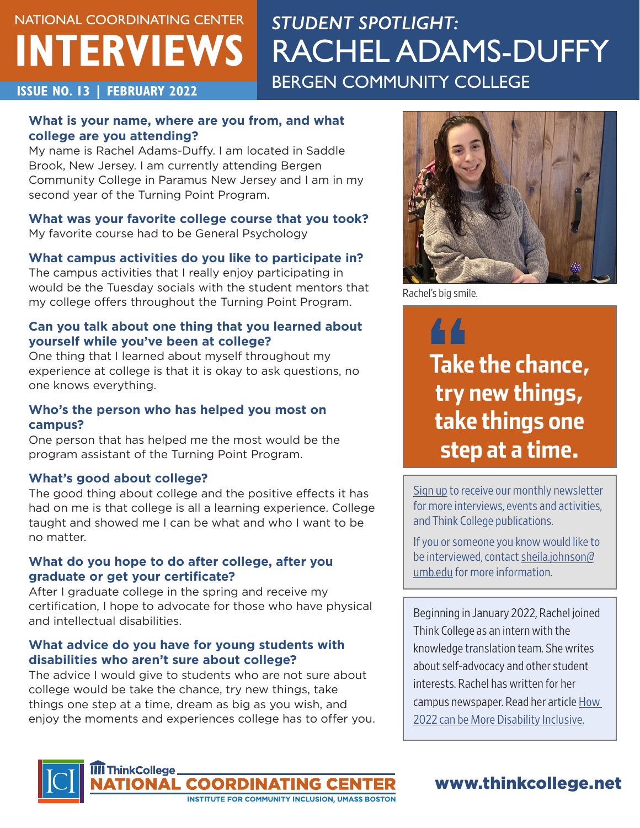# NATIONAL COORDINATING CENTER **INTERVIEWS**

## *STUDENT SPOTLIGHT:*  RACHEL ADAMS-DUFFY **ISSUE NO. 13 | FEBRUARY 2022 BERGEN COMMUNITY COLLEGE**

### **What is your name, where are you from, and what college are you attending?**

My name is Rachel Adams-Duffy. I am located in Saddle Brook, New Jersey. I am currently attending Bergen Community College in Paramus New Jersey and I am in my second year of the Turning Point Program.

### **What was your favorite college course that you took?**

My favorite course had to be General Psychology

### **What campus activities do you like to participate in?**

The campus activities that I really enjoy participating in would be the Tuesday socials with the student mentors that my college offers throughout the Turning Point Program.

### **Can you talk about one thing that you learned about yourself while you've been at college?**

One thing that I learned about myself throughout my experience at college is that it is okay to ask questions, no one knows everything.

### **Who's the person who has helped you most on campus?**

One person that has helped me the most would be the program assistant of the Turning Point Program.

### **What's good about college?**

The good thing about college and the positive effects it has had on me is that college is all a learning experience. College taught and showed me I can be what and who I want to be no matter.

### **What do you hope to do after college, after you graduate or get your certificate?**

After I graduate college in the spring and receive my certification, I hope to advocate for those who have physical and intellectual disabilities.

### **What advice do you have for young students with disabilities who aren't sure about college?**

**ITIONAL COORDI** 

The advice I would give to students who are not sure about college would be take the chance, try new things, take things one step at a time, dream as big as you wish, and enjoy the moments and experiences college has to offer you.

**INSTITUTE FOR COMMUNITY INCLUSION, UMASS BOSTON** 



Rachel's big smile.

44 **Take the chance, try new things, take things one step at a time.**

[Sign up](https://thinkcollege.net/about/contact-us) to receive our monthly newsletter for more interviews, events and activities, and Think College publications.

If you or someone you know would like to be interviewed, contact [sheila.johnson@](mailto:sheila.johnson%40umb.edu?subject=) [umb.edu](mailto:sheila.johnson%40umb.edu?subject=) for more information.

Beginning in January 2022, Rachel joined Think College as an intern with the knowledge translation team. She writes about self-advocacy and other student interests. Rachel has written for her campus newspaper. Read her article How [2022 can be More Disability Inclusive.](https://bergentorchorg.wpcomstaging.com/how-2022-can-be-more-disability-inclusive/)



## [www.thinkcollege.net](http://www.thinkcollege.net)